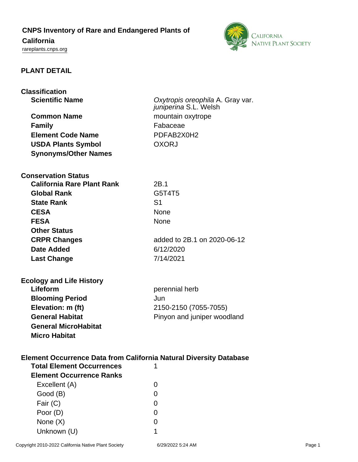## **CNPS Inventory of Rare and Endangered Plants of**

# **California**

<rareplants.cnps.org>



#### **PLANT DETAIL**

| <b>Classification</b><br><b>Scientific Name</b><br><b>Common Name</b>     | Oxytropis oreophila A. Gray var.<br>juniperina S.L. Welsh<br>mountain oxytrope |
|---------------------------------------------------------------------------|--------------------------------------------------------------------------------|
| <b>Family</b>                                                             | Fabaceae                                                                       |
| <b>Element Code Name</b>                                                  | PDFAB2X0H2                                                                     |
|                                                                           | <b>OXORJ</b>                                                                   |
| <b>USDA Plants Symbol</b>                                                 |                                                                                |
| <b>Synonyms/Other Names</b>                                               |                                                                                |
| <b>Conservation Status</b>                                                |                                                                                |
| <b>California Rare Plant Rank</b>                                         | 2B.1                                                                           |
| <b>Global Rank</b>                                                        | G5T4T5                                                                         |
| <b>State Rank</b>                                                         | S <sub>1</sub>                                                                 |
| <b>CESA</b>                                                               | None                                                                           |
| <b>FESA</b>                                                               | None                                                                           |
| <b>Other Status</b>                                                       |                                                                                |
| <b>CRPR Changes</b>                                                       | added to 2B.1 on 2020-06-12                                                    |
| Date Added                                                                | 6/12/2020                                                                      |
| <b>Last Change</b>                                                        | 7/14/2021                                                                      |
|                                                                           |                                                                                |
| <b>Ecology and Life History</b>                                           |                                                                                |
| Lifeform                                                                  | perennial herb                                                                 |
| <b>Blooming Period</b>                                                    | Jun                                                                            |
| Elevation: m (ft)                                                         | 2150-2150 (7055-7055)                                                          |
| <b>General Habitat</b>                                                    | Pinyon and juniper woodland                                                    |
| <b>General MicroHabitat</b>                                               |                                                                                |
| <b>Micro Habitat</b>                                                      |                                                                                |
|                                                                           |                                                                                |
| <b>Element Occurrence Data from California Natural Diversity Database</b> |                                                                                |
| <b>Total Element Occurrences</b>                                          | 1                                                                              |
| <b>Element Occurrence Ranks</b>                                           |                                                                                |
| Excellent (A)                                                             | O                                                                              |
| Good (B)                                                                  | 0                                                                              |
| Fair (C)                                                                  | 0                                                                              |
| Poor (D)                                                                  | O                                                                              |
| None $(X)$                                                                | O                                                                              |
| Unknown (U)                                                               |                                                                                |